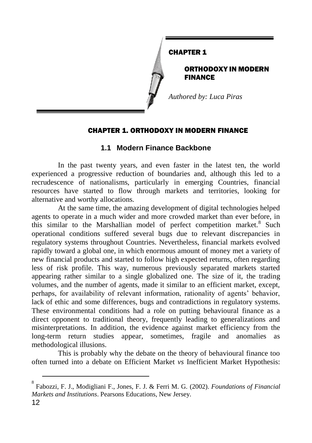

#### CHAPTER 1

ORTHODOXY IN MODERN FINANCE

*Authored by: Luca Piras*

## CHAPTER 1. ORTHODOXY IN MODERN FINANCE

# **1.1 Modern Finance Backbone**

In the past twenty years, and even faster in the latest ten, the world experienced a progressive reduction of boundaries and, although this led to a recrudescence of nationalisms, particularly in emerging Countries, financial resources have started to flow through markets and territories, looking for alternative and worthy allocations.

At the same time, the amazing development of digital technologies helped agents to operate in a much wider and more crowded market than ever before, in this similar to the Marshallian model of perfect competition market.<sup>8</sup> Such operational conditions suffered several bugs due to relevant discrepancies in regulatory systems throughout Countries. Nevertheless, financial markets evolved rapidly toward a global one, in which enormous amount of money met a variety of new financial products and started to follow high expected returns, often regarding less of risk profile. This way, numerous previously separated markets started appearing rather similar to a single globalized one. The size of it, the trading volumes, and the number of agents, made it similar to an efficient market, except, perhaps, for availability of relevant information, rationality of agents' behavior, lack of ethic and some differences, bugs and contradictions in regulatory systems. These environmental conditions had a role on putting behavioural finance as a direct opponent to traditional theory, frequently leading to generalizations and misinterpretations. In addition, the evidence against market efficiency from the long-term return studies appear, sometimes, fragile and anomalies as methodological illusions.

This is probably why the debate on the theory of behavioural finance too often turned into a debate on Efficient Market *vs* Inefficient Market Hypothesis:

<sup>8</sup> Fabozzi, F. J., Modigliani F., Jones, F. J. & Ferri M. G*.* (2002). *Foundations of Financial Markets and Institutions*. Pearsons Educations, New Jersey.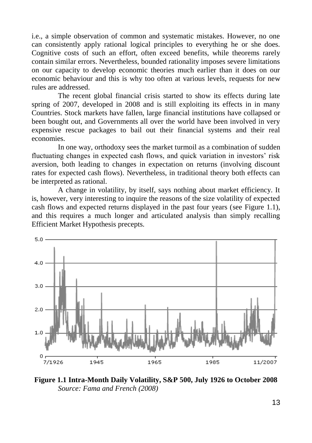i.e., a simple observation of common and systematic mistakes. However, no one can consistently apply rational logical principles to everything he or she does. Cognitive costs of such an effort, often exceed benefits, while theorems rarely contain similar errors. Nevertheless, bounded rationality imposes severe limitations on our capacity to develop economic theories much earlier than it does on our economic behaviour and this is why too often at various levels, requests for new rules are addressed.

The recent global financial crisis started to show its effects during late spring of 2007, developed in 2008 and is still exploiting its effects in in many Countries. Stock markets have fallen, large financial institutions have collapsed or been bought out, and Governments all over the world have been involved in very expensive rescue packages to bail out their financial systems and their real economies.

In one way, orthodoxy sees the market turmoil as a combination of sudden fluctuating changes in expected cash flows, and quick variation in investors' risk aversion, both leading to changes in expectation on returns (involving discount rates for expected cash flows). Nevertheless, in traditional theory both effects can be interpreted as rational.

A change in volatility, by itself, says nothing about market efficiency. It is, however, very interesting to inquire the reasons of the size volatility of expected cash flows and expected returns displayed in the past four years (see Figure 1.1), and this requires a much longer and articulated analysis than simply recalling Efficient Market Hypothesis precepts.



**Figure 1.1 Intra-Month Daily Volatility, S&P 500, July 1926 to October 2008** *Source: Fama and French (2008)*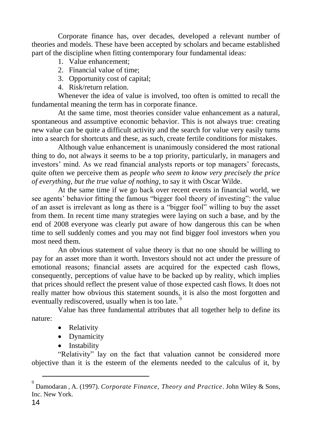Corporate finance has, over decades, developed a relevant number of theories and models. These have been accepted by scholars and became established part of the discipline when fitting contemporary four fundamental ideas:

- 1. Value enhancement;
- 2. Financial value of time;
- 3. Opportunity cost of capital;
- 4. Risk/return relation.

Whenever the idea of value is involved, too often is omitted to recall the fundamental meaning the term has in corporate finance.

At the same time, most theories consider value enhancement as a natural, spontaneous and assumptive economic behavior. This is not always true: creating new value can be quite a difficult activity and the search for value very easily turns into a search for shortcuts and these, as such, create fertile conditions for mistakes.

Although value enhancement is unanimously considered the most rational thing to do, not always it seems to be a top priority, particularly, in managers and investors' mind. As we read financial analysts reports or top managers' forecasts, quite often we perceive them as *people who seem to know very precisely the price of everything, but the true value of nothing*, to say it with Oscar Wilde.

At the same time if we go back over recent events in financial world, we see agents' behavior fitting the famous "bigger fool theory of investing": the value of an asset is irrelevant as long as there is a "bigger fool" willing to buy the asset from them. In recent time many strategies were laying on such a base, and by the end of 2008 everyone was clearly put aware of how dangerous this can be when time to sell suddenly comes and you may not find bigger fool investors when you most need them.

An obvious statement of value theory is that no one should be willing to pay for an asset more than it worth. Investors should not act under the pressure of emotional reasons; financial assets are acquired for the expected cash flows, consequently, perceptions of value have to be backed up by reality, which implies that prices should reflect the present value of those expected cash flows. It does not really matter how obvious this statement sounds, it is also the most forgotten and eventually rediscovered, usually when is too late.<sup>9</sup>

Value has three fundamental attributes that all together help to define its nature:

- Relativity
- Dynamicity
- Instability

"Relativity" lay on the fact that valuation cannot be considered more objective than it is the esteem of the elements needed to the calculus of it, by

<sup>9</sup> Damodaran , A. (1997). *Corporate Finance, Theory and Practice*. John Wiley & Sons, Inc. New York.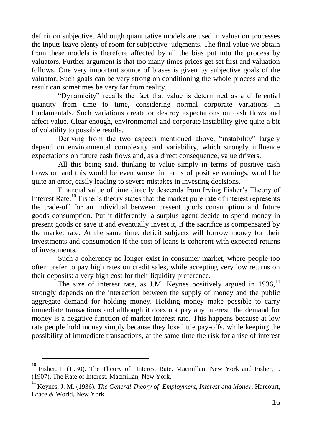definition subjective. Although quantitative models are used in valuation processes the inputs leave plenty of room for subjective judgments. The final value we obtain from these models is therefore affected by all the bias put into the process by valuators. Further argument is that too many times prices get set first and valuation follows. One very important source of biases is given by subjective goals of the valuator. Such goals can be very strong on conditioning the whole process and the result can sometimes be very far from reality.

"Dynamicity" recalls the fact that value is determined as a differential quantity from time to time, considering normal corporate variations in fundamentals. Such variations create or destroy expectations on cash flows and affect value. Clear enough, environmental and corporate instability give quite a bit of volatility to possible results.

Deriving from the two aspects mentioned above, "instability" largely depend on environmental complexity and variability, which strongly influence expectations on future cash flows and, as a direct consequence, value drivers.

All this being said, thinking to value simply in terms of positive cash flows or, and this would be even worse, in terms of positive earnings, would be quite an error, easily leading to severe mistakes in investing decisions.

Financial value of time directly descends from Irving Fisher's Theory of Interest Rate.<sup>10</sup> Fisher's theory states that the market pure rate of interest represents the trade-off for an individual between present goods consumption and future goods consumption. Put it differently, a surplus agent decide to spend money in present goods or save it and eventually invest it, if the sacrifice is compensated by the market rate. At the same time, deficit subjects will borrow money for their investments and consumption if the cost of loans is coherent with expected returns of investments.

Such a coherency no longer exist in consumer market, where people too often prefer to pay high rates on credit sales, while accepting very low returns on their deposits: a very high cost for their liquidity preference.

The size of interest rate, as J.M. Keynes positively argued in  $1936$ ,  $^{11}$ strongly depends on the interaction between the supply of money and the public aggregate demand for holding money. Holding money make possible to carry immediate transactions and although it does not pay any interest, the demand for money is a negative function of market interest rate. This happens because at low rate people hold money simply because they lose little pay-offs, while keeping the possibility of immediate transactions, at the same time the risk for a rise of interest

<sup>10</sup> Fisher, I. (1930). The Theory of Interest Rate. Macmillan, New York and Fisher, I. (1907). The Rate of Interest. Macmillan, New York.

<sup>11</sup> Keynes, J. M. (1936). *The General Theory of Employment, Interest and Money*. Harcourt, Brace & World, New York.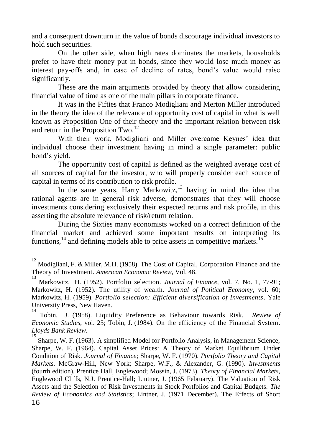and a consequent downturn in the value of bonds discourage individual investors to hold such securities.

On the other side, when high rates dominates the markets, households prefer to have their money put in bonds, since they would lose much money as interest pay-offs and, in case of decline of rates, bond's value would raise significantly.

These are the main arguments provided by theory that allow considering financial value of time as one of the main pillars in corporate finance.

It was in the Fifties that Franco Modigliani and Merton Miller introduced in the theory the idea of the relevance of opportunity cost of capital in what is well known as Proposition One of their theory and the important relation between risk and return in the Proposition Two.<sup>12</sup>

With their work, Modigliani and Miller overcame Keynes' idea that individual choose their investment having in mind a single parameter: public bond's yield.

The opportunity cost of capital is defined as the weighted average cost of all sources of capital for the investor, who will properly consider each source of capital in terms of its contribution to risk profile.

In the same years, Harry Markowitz, $13$  having in mind the idea that rational agents are in general risk adverse, demonstrates that they will choose investments considering exclusively their expected returns and risk profile, in this asserting the absolute relevance of risk/return relation.

During the Sixties many economists worked on a correct definition of the financial market and achieved some important results on interpreting its functions, $^{14}$  and defining models able to price assets in competitive markets.<sup>15</sup>

<sup>12</sup> Modigliani, F. & Miller, M.H. (1958). The Cost of Capital, Corporation Finance and the Theory of Investment. *American Economic Review*, Vol. 48.

<sup>13</sup> Markowitz, H. (1952). Portfolio selection. *Journal of Finance*, vol. 7, No. 1, 77-91; Markowitz, H. (1952). The utility of wealth. *Journal of Political Economy*, vol. 60; Markowitz, H. (1959). *Portfolio selection: Efficient diversification of Investments*. Yale University Press, New Haven.

<sup>14</sup> Tobin, J. (1958). Liquidity Preference as Behaviour towards Risk. *Review of Economic Studies*, vol. 25; Tobin, J. (1984). On the efficiency of the Financial System. *Lloyds Bank Review*.

<sup>16</sup> 15 Sharpe, W. F. (1963). A simplified Model for Portfolio Analysis, in Management Science; Sharpe, W. F. (1964). Capital Asset Prices: A Theory of Market Equilibrium Under Condition of Risk. *Journal of Finance*; Sharpe, W. F. (1970). *Portfolio Theory and Capital Markets*. McGraw-Hill, New York; Sharpe, W.F., & Alexander, G. (1990). *Investments* (fourth edition). Prentice Hall, Englewood; Mossin, J. (1973). *Theory of Financial Markets*, Englewood Cliffs, N.J. Prentice-Hall; Lintner, J. (1965 February). The Valuation of Risk Assets and the Selection of Risk Investments in Stock Portfolios and Capital Budgets. *The Review of Economics and Statistics*; Lintner, J. (1971 December). The Effects of Short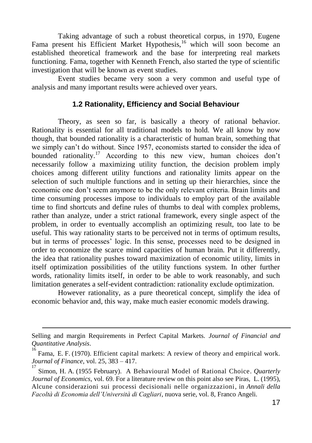Taking advantage of such a robust theoretical corpus, in 1970, Eugene Fama present his Efficient Market Hypothesis,<sup>16</sup> which will soon become an established theoretical framework and the base for interpreting real markets functioning. Fama, together with Kenneth French, also started the type of scientific investigation that will be known as event studies.

Event studies became very soon a very common and useful type of analysis and many important results were achieved over years.

#### **1.2 Rationality, Efficiency and Social Behaviour**

Theory, as seen so far, is basically a theory of rational behavior. Rationality is essential for all traditional models to hold. We all know by now though, that bounded rationality is a characteristic of human brain, something that we simply can't do without. Since 1957, economists started to consider the idea of bounded rationality.<sup>17</sup> According to this new view, human choices don't necessarily follow a maximizing utility function, the decision problem imply choices among different utility functions and rationality limits appear on the selection of such multiple functions and in setting up their hierarchies, since the economic one don't seem anymore to be the only relevant criteria. Brain limits and time consuming processes impose to individuals to employ part of the available time to find shortcuts and define rules of thumbs to deal with complex problems, rather than analyze, under a strict rational framework, every single aspect of the problem, in order to eventually accomplish an optimizing result, too late to be useful. This way rationality starts to be perceived not in terms of optimum results, but in terms of processes' logic. In this sense, processes need to be designed in order to economize the scarce mind capacities of human brain. Put it differently, the idea that rationality pushes toward maximization of economic utility, limits in itself optimization possibilities of the utility functions system. In other further words, rationality limits itself, in order to be able to work reasonably, and such limitation generates a self-evident contradiction: rationality exclude optimization.

However rationality, as a pure theoretical concept, simplify the idea of economic behavior and, this way, make much easier economic models drawing.

Selling and margin Requirements in Perfect Capital Markets. *Journal of Financial and Quantitative Analysis*. 16

Fama, E. F. (1970). Efficient capital markets: A review of theory and empirical work. *Journal of Finance*, vol. 25, 383 – 417.

Simon, H. A. (1955 February). A Behavioural Model of Rational Choice. *Quarterly Journal of Economics*, vol. 69. For a literature review on this point also see Piras, L. (1995), Alcune considerazioni sui processi decisionali nelle organizzazioni, in *Annali della Facoltà di Economia dell'Università di Cagliari*, nuova serie, vol. 8, Franco Angeli.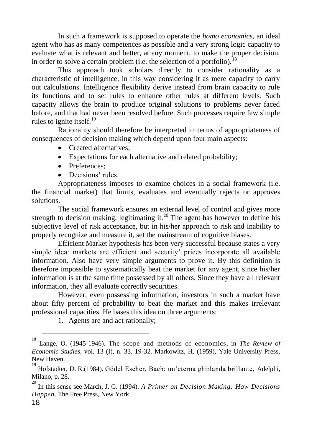In such a framework is supposed to operate the *homo economics*, an ideal agent who has as many competences as possible and a very strong logic capacity to evaluate what is relevant and better, at any moment, to make the proper decision, in order to solve a certain problem (i.e. the selection of a portfolio).<sup>18</sup>

This approach took scholars directly to consider rationality as a characteristic of intelligence, in this way considering it as mere capacity to carry out calculations. Intelligence flexibility derive instead from brain capacity to rule its functions and to set rules to enhance other rules at different levels. Such capacity allows the brain to produce original solutions to problems never faced before, and that had never been resolved before. Such processes require few simple rules to ignite itself. $^{19}$ 

Rationality should therefore be interpreted in terms of appropriateness of consequences of decision making which depend upon four main aspects:

- Created alternatives:
- Expectations for each alternative and related probability;
- Preferences:
- Decisions' rules.

Appropriateness imposes to examine choices in a social framework (i.e. the financial market) that limits, evaluates and eventually rejects or approves solutions.

The social framework ensures an external level of control and gives more strength to decision making, legitimating it.<sup>20</sup> The agent has however to define his subjective level of risk acceptance, but in his/her approach to risk and inability to properly recognize and measure it, set the mainstream of cognitive biases.

Efficient Market hypothesis has been very successful because states a very simple idea: markets are efficient and security' prices incorporate all available information. Also have very simple arguments to prove it. By this definition is therefore impossible to systematically beat the market for any agent, since his/her information is at the same time possessed by all others. Since they have all relevant information, they all evaluate correctly securities.

However, even possessing information, investors in such a market have about fifty percent of probability to beat the market and this makes irrelevant professional capacities. He bases this idea on three arguments:

1. Agents are and act rationally;

<sup>18</sup> Lange, O. (1945-1946). The scope and methods of economics, in *The Review of Economic Studies*, vol. 13 (I), n. 33, 19-32. Markowitz, H. (1959), Yale University Press, New Haven.

<sup>19</sup> Hofstadter, D. R.(1984). Gödel Escher, Bach: un'eterna ghirlanda brillante, Adelphi, Milano, p. 28.

<sup>20</sup> In this sense see March, J. G. (1994). *A Primer on Decision Making: How Decisions Happen*. The Free Press, New York.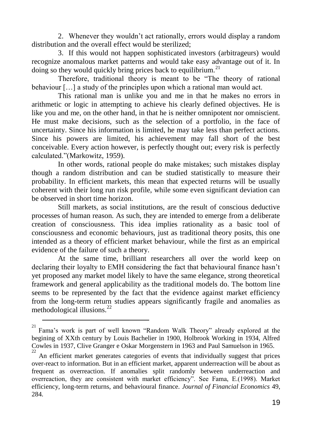2. Whenever they wouldn't act rationally, errors would display a random distribution and the overall effect would be sterilized;

3. If this would not happen sophisticated investors (arbitrageurs) would recognize anomalous market patterns and would take easy advantage out of it. In doing so they would quickly bring prices back to equilibrium.<sup>21</sup>

Therefore, traditional theory is meant to be "The theory of rational behaviour […] a study of the principles upon which a rational man would act.

This rational man is unlike you and me in that he makes no errors in arithmetic or logic in attempting to achieve his clearly defined objectives. He is like you and me, on the other hand, in that he is neither omnipotent nor omniscient. He must make decisions, such as the selection of a portfolio, in the face of uncertainty. Since his information is limited, he may take less than perfect actions. Since his powers are limited, his achievement may fall short of the best conceivable. Every action however, is perfectly thought out; every risk is perfectly calculated."(Markowitz, 1959).

In other words, rational people do make mistakes; such mistakes display though a random distribution and can be studied statistically to measure their probability. In efficient markets, this mean that expected returns will be usually coherent with their long run risk profile, while some even significant deviation can be observed in short time horizon.

Still markets, as social institutions, are the result of conscious deductive processes of human reason. As such, they are intended to emerge from a deliberate creation of consciousness. This idea implies rationality as a basic tool of consciousness and economic behaviours, just as traditional theory posits, this one intended as a theory of efficient market behaviour, while the first as an empirical evidence of the failure of such a theory.

At the same time, brilliant researchers all over the world keep on declaring their loyalty to EMH considering the fact that behavioural finance hasn't yet proposed any market model likely to have the same elegance, strong theoretical framework and general applicability as the traditional models do. The bottom line seems to be represented by the fact that the evidence against market efficiency from the long-term return studies appears significantly fragile and anomalies as methodological illusions.<sup>22</sup>

<sup>21</sup> Fama's work is part of well known "Random Walk Theory" already explored at the begining of XXth century by Louis Bachelier in 1900, Holbrook Working in 1934, Alfred Cowles in 1937, Clive Granger e Oskar Morgenstern in 1963 and Paul Samuelson in 1965. 22

An efficient market generates categories of events that individually suggest that prices over-react to information. But in an efficient market, apparent underreaction will be about as frequent as overreaction. If anomalies split randomly between underreaction and overreaction, they are consistent with market efficiency". See Fama, E.(1998). Market efficiency, long-term returns, and behavioural finance. *Journal of Financial Economics* 49, 284.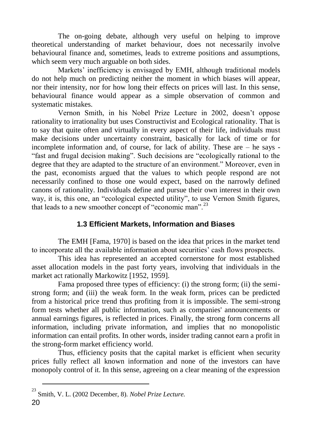The on-going debate, although very useful on helping to improve theoretical understanding of market behaviour, does not necessarily involve behavioural finance and, sometimes, leads to extreme positions and assumptions, which seem very much arguable on both sides.

Markets' inefficiency is envisaged by EMH, although traditional models do not help much on predicting neither the moment in which biases will appear, nor their intensity, nor for how long their effects on prices will last. In this sense, behavioural finance would appear as a simple observation of common and systematic mistakes.

Vernon Smith, in his Nobel Prize Lecture in 2002, doesn't oppose rationality to irrationality but uses Constructivist and Ecological rationality. That is to say that quite often and virtually in every aspect of their life, individuals must make decisions under uncertainty constraint, basically for lack of time or for incomplete information and, of course, for lack of ability. These are – he says - "fast and frugal decision making". Such decisions are "ecologically rational to the degree that they are adapted to the structure of an environment." Moreover, even in the past, economists argued that the values to which people respond are not necessarily confined to those one would expect, based on the narrowly defined canons of rationality. Individuals define and pursue their own interest in their own way, it is, this one, an "ecological expected utility", to use Vernon Smith figures, that leads to a new smoother concept of "economic man".<sup>23</sup>

## **1.3 Efficient Markets, Information and Biases**

The EMH [Fama, 1970] is based on the idea that prices in the market tend to incorporate all the available information about securities' cash flows prospects.

This idea has represented an accepted cornerstone for most established asset allocation models in the past forty years, involving that individuals in the market act rationally Markowitz [1952, 1959].

Fama proposed three types of efficiency: (i) the strong form; (ii) the semistrong form; and (iii) the weak form. In the weak form, prices can be predicted from a historical price trend thus profiting from it is impossible. The semi-strong form tests whether all public information, such as companies' announcements or annual earnings figures, is reflected in prices. Finally, the strong form concerns all information, including private information, and implies that no monopolistic information can entail profits. In other words, insider trading cannot earn a profit in the strong-form market efficiency world.

Thus, efficiency posits that the capital market is efficient when security prices fully reflect all known information and none of the investors can have monopoly control of it. In this sense, agreeing on a clear meaning of the expression

<sup>23</sup> Smith, V. L. (2002 December, 8). *Nobel Prize Lecture.*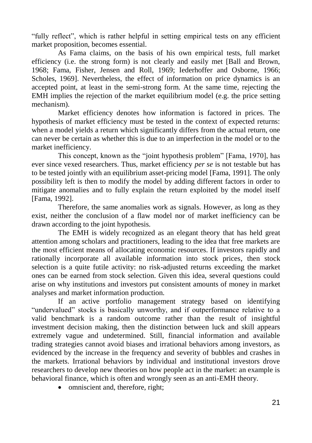"fully reflect", which is rather helpful in setting empirical tests on any efficient market proposition, becomes essential.

As Fama claims, on the basis of his own empirical tests, full market efficiency (i.e. the strong form) is not clearly and easily met [Ball and Brown, 1968; Fama, Fisher, Jensen and Roll, 1969; Iederhoffer and Osborne, 1966; Scholes, 1969]. Nevertheless, the effect of information on price dynamics is an accepted point, at least in the semi-strong form. At the same time, rejecting the EMH implies the rejection of the market equilibrium model (e.g. the price setting mechanism).

Market efficiency denotes how information is factored in prices. The hypothesis of market efficiency must be tested in the context of expected returns: when a model yields a return which significantly differs from the actual return, one can never be certain as whether this is due to an imperfection in the model or to the market inefficiency.

This concept, known as the "joint hypothesis problem" [Fama, 1970], has ever since vexed researchers. Thus, market efficiency *per se* is not testable but has to be tested jointly with an equilibrium asset-pricing model [Fama, 1991]. The only possibility left is then to modify the model by adding different factors in order to mitigate anomalies and to fully explain the return exploited by the model itself [Fama, 1992].

Therefore, the same anomalies work as signals. However, as long as they exist, neither the conclusion of a flaw model nor of market inefficiency can be drawn according to the joint hypothesis.

The EMH is widely recognized as an elegant theory that has held great attention among scholars and practitioners, leading to the idea that free markets are the most efficient means of allocating economic resources. If investors rapidly and rationally incorporate all available information into stock prices, then stock selection is a quite futile activity: no risk-adjusted returns exceeding the market ones can be earned from stock selection. Given this idea, several questions could arise on why institutions and investors put consistent amounts of money in market analyses and market information production.

If an active portfolio management strategy based on identifying "undervalued" stocks is basically unworthy, and if outperformance relative to a valid benchmark is a random outcome rather than the result of insightful investment decision making, then the distinction between luck and skill appears extremely vague and undetermined. Still, financial information and available trading strategies cannot avoid biases and irrational behaviors among investors, as evidenced by the increase in the frequency and severity of bubbles and crashes in the markets. Irrational behaviors by individual and institutional investors drove researchers to develop new theories on how people act in the market: an example is behavioral finance, which is often and wrongly seen as an anti-EMH theory.

• omniscient and, therefore, right;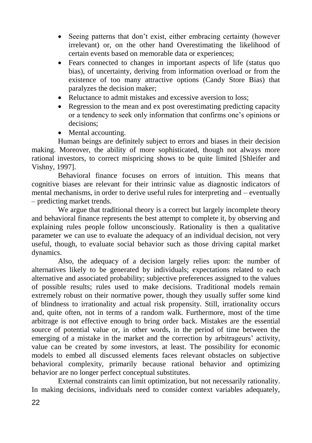- Seeing patterns that don't exist, either embracing certainty (however irrelevant) or, on the other hand Overestimating the likelihood of certain events based on memorable data or experiences;
- Fears connected to changes in important aspects of life (status quo bias), of uncertainty, deriving from information overload or from the existence of too many attractive options (Candy Store Bias) that paralyzes the decision maker;
- Reluctance to admit mistakes and excessive aversion to loss:
- Regression to the mean and ex post overestimating predicting capacity or a tendency to seek only information that confirms one's opinions or decisions;
- Mental accounting.

Human beings are definitely subject to errors and biases in their decision making. Moreover, the ability of more sophisticated, though not always more rational investors, to correct mispricing shows to be quite limited [Shleifer and Vishny, 1997].

Behavioral finance focuses on errors of intuition. This means that cognitive biases are relevant for their intrinsic value as diagnostic indicators of mental mechanisms, in order to derive useful rules for interpreting and – eventually – predicting market trends.

We argue that traditional theory is a correct but largely incomplete theory and behavioral finance represents the best attempt to complete it, by observing and explaining rules people follow unconsciously. Rationality is then a qualitative parameter we can use to evaluate the adequacy of an individual decision, not very useful, though, to evaluate social behavior such as those driving capital market dynamics.

Also, the adequacy of a decision largely relies upon: the number of alternatives likely to be generated by individuals; expectations related to each alternative and associated probability; subjective preferences assigned to the values of possible results; rules used to make decisions. Traditional models remain extremely robust on their normative power, though they usually suffer some kind of blindness to irrationality and actual risk propensity. Still, irrationality occurs and, quite often, not in terms of a random walk. Furthermore, most of the time arbitrage is not effective enough to bring order back. Mistakes are the essential source of potential value or, in other words, in the period of time between the emerging of a mistake in the market and the correction by arbitrageurs' activity, value can be created by *some* investors, at least. The possibility for economic models to embed all discussed elements faces relevant obstacles on subjective behavioral complexity, primarily because rational behavior and optimizing behavior are no longer perfect conceptual substitutes.

External constraints can limit optimization, but not necessarily rationality. In making decisions, individuals need to consider context variables adequately,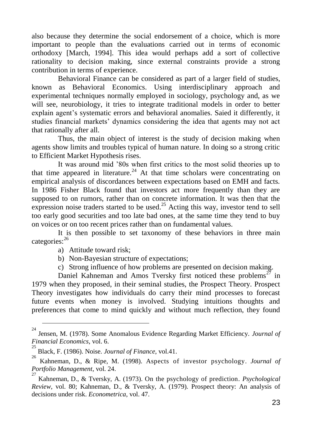also because they determine the social endorsement of a choice, which is more important to people than the evaluations carried out in terms of economic orthodoxy [March, 1994]. This idea would perhaps add a sort of collective rationality to decision making, since external constraints provide a strong contribution in terms of experience.

Behavioral Finance can be considered as part of a larger field of studies, known as Behavioral Economics. Using interdisciplinary approach and experimental techniques normally employed in sociology, psychology and, as we will see, neurobiology, it tries to integrate traditional models in order to better explain agent's systematic errors and behavioral anomalies. Saied it differently, it studies financial markets' dynamics considering the idea that agents may not act that rationally after all.

Thus, the main object of interest is the study of decision making when agents show limits and troubles typical of human nature. In doing so a strong critic to Efficient Market Hypothesis rises.

It was around mid '80s when first critics to the most solid theories up to that time appeared in literature.<sup>24</sup> At that time scholars were concentrating on empirical analysis of discordances between expectations based on EMH and facts. In 1986 Fisher Black found that investors act more frequently than they are supposed to on rumors, rather than on concrete information. It was then that the expression noise traders started to be used.<sup>25</sup> Acting this way, investor tend to sell too early good securities and too late bad ones, at the same time they tend to buy on voices or on too recent prices rather than on fundamental values.

It is then possible to set taxonomy of these behaviors in three main categories:<sup>26</sup>

a) Attitude toward risk;

 $\overline{a}$ 

- b) Non-Bayesian structure of expectations;
- c) Strong influence of how problems are presented on decision making.

Daniel Kahneman and Amos Tversky first noticed these problems<sup>27</sup> in 1979 when they proposed, in their seminal studies, the Prospect Theory. Prospect Theory investigates how individuals do carry their mind processes to forecast future events when money is involved. Studying intuitions thoughts and preferences that come to mind quickly and without much reflection, they found

<sup>24</sup> Jensen, M. (1978). Some Anomalous Evidence Regarding Market Efficiency. *Journal of Financial Economics*, vol. 6.

<sup>25</sup> Black, F. (1986). Noise. *Journal of Finance*, vol.41. 26

Kahneman, D., & Ripe, M. (1998). Aspects of investor psychology. *Journal of Portfolio Management*, vol. 24.

<sup>27</sup> Kahneman, D., & Tversky, A. (1973). On the psychology of prediction. *Psychological Review*, vol. 80; Kahneman, D., & Tversky, A. (1979). Prospect theory: An analysis of decisions under risk. *Econometrica*, vol. 47.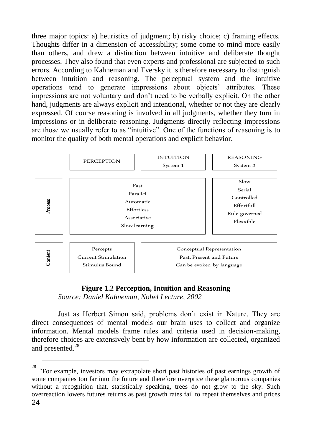three major topics: a) heuristics of judgment; b) risky choice; c) framing effects. Thoughts differ in a dimension of accessibility; some come to mind more easily than others, and drew a distinction between intuitive and deliberate thought processes. They also found that even experts and professional are subjected to such errors. According to Kahneman and Tversky it is therefore necessary to distinguish between intuition and reasoning. The perceptual system and the intuitive operations tend to generate impressions about objects' attributes. These impressions are not voluntary and don't need to be verbally explicit. On the other hand, judgments are always explicit and intentional, whether or not they are clearly expressed. Of course reasoning is involved in all judgments, whether they turn in impressions or in deliberate reasoning. Judgments directly reflecting impressions are those we usually refer to as "intuitive". One of the functions of reasoning is to monitor the quality of both mental operations and explicit behavior.



#### **Figure 1.2 Perception, Intuition and Reasoning**

*Source: Daniel Kahneman, Nobel Lecture, 2002*

Just as Herbert Simon said, problems don't exist in Nature. They are direct consequences of mental models our brain uses to collect and organize information. Mental models frame rules and criteria used in decision-making, therefore choices are extensively bent by how information are collected, organized and presented.<sup>28</sup>

<sup>24</sup> <sup>28</sup><br><sup>28</sup> "For example, investors may extrapolate short past histories of past earnings growth of some companies too far into the future and therefore overprice these glamorous companies without a recognition that, statistically speaking, trees do not grow to the sky. Such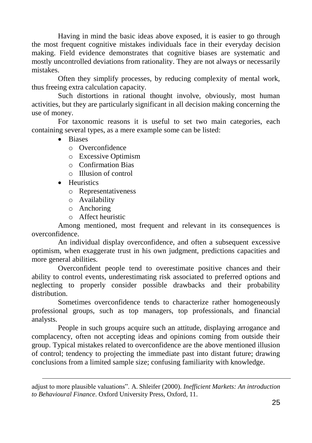Having in mind the basic ideas above exposed, it is easier to go through the most frequent cognitive mistakes individuals face in their everyday decision making. Field evidence demonstrates that cognitive biases are systematic and mostly uncontrolled deviations from rationality. They are not always or necessarily mistakes.

Often they simplify processes, by reducing complexity of mental work, thus freeing extra calculation capacity.

Such distortions in rational thought involve, obviously, most human activities, but they are particularly significant in all decision making concerning the use of money.

For taxonomic reasons it is useful to set two main categories, each containing several types, as a mere example some can be listed:

- Biases
	- o Overconfidence
	- o Excessive Optimism
	- o Confirmation Bias
	- o Illusion of control
- Heuristics

 $\overline{a}$ 

- o Representativeness
- o Availability
- o Anchoring
- o Affect heuristic

Among mentioned, most frequent and relevant in its consequences is overconfidence.

An individual display overconfidence, and often a subsequent excessive optimism, when exaggerate trust in his own judgment, predictions capacities and more general abilities.

Overconfident people tend to overestimate positive chances and their ability to control events, underestimating risk associated to preferred options and neglecting to properly consider possible drawbacks and their probability distribution.

Sometimes overconfidence tends to characterize rather homogeneously professional groups, such as top managers, top professionals, and financial analysts.

People in such groups acquire such an attitude, displaying arrogance and complacency, often not accepting ideas and opinions coming from outside their group. Typical mistakes related to overconfidence are the above mentioned illusion of control; tendency to projecting the immediate past into distant future; drawing conclusions from a limited sample size; confusing familiarity with knowledge.

adjust to more plausible valuations". A. Shleifer (2000). *Inefficient Markets: An introduction to Behavioural Finance*. Oxford University Press, Oxford, 11.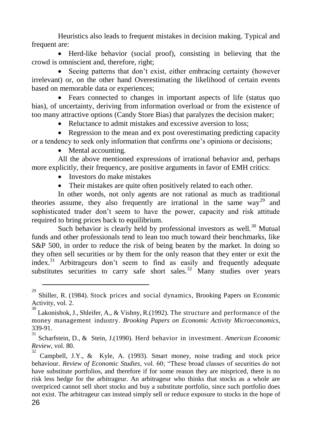Heuristics also leads to frequent mistakes in decision making. Typical and frequent are:

 Herd-like behavior (social proof), consisting in believing that the crowd is omniscient and, therefore, right;

 Seeing patterns that don't exist, either embracing certainty (however irrelevant) or, on the other hand Overestimating the likelihood of certain events based on memorable data or experiences;

 Fears connected to changes in important aspects of life (status quo bias), of uncertainty, deriving from information overload or from the existence of too many attractive options (Candy Store Bias) that paralyzes the decision maker;

• Reluctance to admit mistakes and excessive aversion to loss:

• Regression to the mean and ex post overestimating predicting capacity or a tendency to seek only information that confirms one's opinions or decisions;

• Mental accounting.

 $\overline{a}$ 

All the above mentioned expressions of irrational behavior and, perhaps more explicitly, their frequency, are positive arguments in favor of EMH critics:

- Investors do make mistakes
- Their mistakes are quite often positively related to each other.

In other words, not only agents are not rational as much as traditional theories assume, they also frequently are irrational in the same way<sup>29</sup> and sophisticated trader don't seem to have the power, capacity and risk attitude required to bring prices back to equilibrium.

Such behavior is clearly held by professional investors as well.<sup>30</sup> Mutual funds and other professionals tend to lean too much toward their benchmarks, like S&P 500, in order to reduce the risk of being beaten by the market. In doing so they often sell securities or by them for the only reason that they enter or exit the index.<sup>31</sup> Arbitrageurs don't seem to find as easily and frequently adequate substitutes securities to carry safe short sales.<sup>32</sup> Many studies over years

<sup>29</sup> Shiller, R. (1984). Stock prices and social dynamics, Brooking Papers on Economic Activity, vol. 2.

<sup>&</sup>lt;sup>30</sup> Lakonishok, J., Shleifer, A., & Vishny, R.(1992). The structure and performance of the money management industry. *Brooking Papers on Economic Activity Microeconomics*, 339-91. 31

Scharfstein, D., & Stein, J.(1990). Herd behavior in investment. *American Economic Review*, vol. 80.

<sup>26</sup> 32 Campbell, J.Y., & Kyle, A. (1993). Smart money, noise trading and stock price behaviour. *Review of Economic Studies*, vol. 60; "These broad classes of securities do not have substitute portfolios, and therefore if for some reason they are mispriced, there is no risk less hedge for the arbitrageur. An arbitrageur who thinks that stocks as a whole are overpriced cannot sell short stocks and buy a substitute portfolio, since such portfolio does not exist. The arbitrageur can instead simply sell or reduce exposure to stocks in the hope of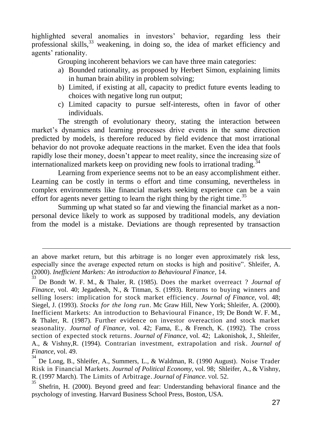highlighted several anomalies in investors' behavior, regarding less their professional skills,<sup>33</sup> weakening, in doing so, the idea of market efficiency and agents' rationality.

Grouping incoherent behaviors we can have three main categories:

- a) Bounded rationality, as proposed by Herbert Simon, explaining limits in human brain ability in problem solving;
- b) Limited, if existing at all, capacity to predict future events leading to choices with negative long run output;
- c) Limited capacity to pursue self-interests, often in favor of other individuals.

The strength of evolutionary theory, stating the interaction between market's dynamics and learning processes drive events in the same direction predicted by models, is therefore reduced by field evidence that most irrational behavior do not provoke adequate reactions in the market. Even the idea that fools rapidly lose their money, doesn't appear to meet reality, since the increasing size of internationalized markets keep on providing new fools to irrational trading.<sup>34</sup>

Learning from experience seems not to be an easy accomplishment either. Learning can be costly in terms o effort and time consuming, nevertheless in complex environments like financial markets seeking experience can be a vain effort for agents never getting to learn the right thing by the right time.<sup>35</sup>

Summing up what stated so far and viewing the financial market as a nonpersonal device likely to work as supposed by traditional models, any deviation from the model is a mistake. Deviations are though represented by transaction

an above market return, but this arbitrage is no longer even approximately risk less, especially since the average expected return on stocks is high and positive". Shleifer, A. (2000). *Inefficient Markets: An introduction to Behavioural Finance*, 14.

<sup>33</sup> De Bondt W. F. M., & Thaler, R. (1985). Does the market overreact ? *Journal of Finance*, vol. 40; Jegadeesh, N., & Titman, S. (1993). Returns to buying winners and selling losers: implication for stock market efficiency. *Journal of Finance*, vol. 48; Siegel, J. (1993). *Stocks for the long run*. Mc Graw Hill, New York; Shleifer, A. (2000). Inefficient Markets: An introduction to Behavioural Finance , 19; De Bondt W. F. M., & Thaler, R. (1987). Further evidence on investor overeaction and stock market seasonality. *Journal of Finance*, vol. 42; Fama, E., & French, K. (1992). The cross section of expected stock returns. *Journal of Finance*, vol. 42; Lakonishok, J., Shleifer, A., & Vishny,R. (1994). Contrarian investment, extrapolation and risk. *Journal of Finance*, vol. 49.

<sup>34</sup> De Long, B., Shleifer, A., Summers, L., & Waldman, R. (1990 August). Noise Trader Risk in Financial Markets. *Journal of Political Economy*, vol. 98; Shleifer, A., & Vishny, R. (1997 March). The Limits of Arbitrage. *Journal of Finance*. Vol. 52. 35

Shefrin, H. (2000). Beyond greed and fear: Understanding behavioral finance and the psychology of investing. Harvard Business School Press, Boston, USA.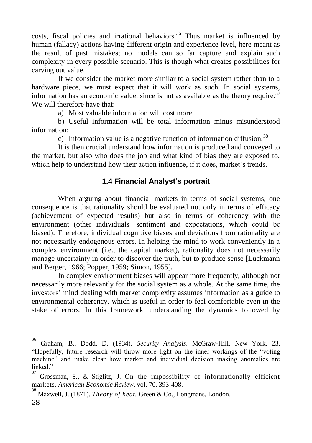costs, fiscal policies and irrational behaviors.<sup>36</sup> Thus market is influenced by human (fallacy) actions having different origin and experience level, here meant as the result of past mistakes; no models can so far capture and explain such complexity in every possible scenario. This is though what creates possibilities for carving out value.

If we consider the market more similar to a social system rather than to a hardware piece, we must expect that it will work as such. In social systems, information has an economic value, since is not as available as the theory require.<sup>37</sup> We will therefore have that:

a) Most valuable information will cost more;

b) Useful information will be total information minus misunderstood information;

c) Information value is a negative function of information diffusion.<sup>38</sup>

It is then crucial understand how information is produced and conveyed to the market, but also who does the job and what kind of bias they are exposed to, which help to understand how their action influence, if it does, market's trends.

# **1.4 Financial Analyst's portrait**

When arguing about financial markets in terms of social systems, one consequence is that rationality should be evaluated not only in terms of efficacy (achievement of expected results) but also in terms of coherency with the environment (other individuals' sentiment and expectations, which could be biased). Therefore, individual cognitive biases and deviations from rationality are not necessarily endogenous errors. In helping the mind to work conveniently in a complex environment (i.e., the capital market), rationality does not necessarily manage uncertainty in order to discover the truth, but to produce sense [Luckmann and Berger, 1966; Popper, 1959; Simon, 1955].

In complex environment biases will appear more frequently, although not necessarily more relevantly for the social system as a whole. At the same time, the investors' mind dealing with market complexity assumes information as a guide to environmental coherency, which is useful in order to feel comfortable even in the stake of errors. In this framework, understanding the dynamics followed by

<sup>36</sup>

Graham, B., Dodd, D. (1934). *Security Analysis*. McGraw-Hill, New York, 23. "Hopefully, future research will throw more light on the inner workings of the "voting machine" and make clear how market and individual decision making anomalies are linked." 37

Grossman, S., & Stiglitz, J. On the impossibility of informationally efficient markets. *American Economic Review*, vol. 70, 393-408.

<sup>28</sup> 38 Maxwell, J. (1871). *Theory of heat.* Green & Co., Longmans, London.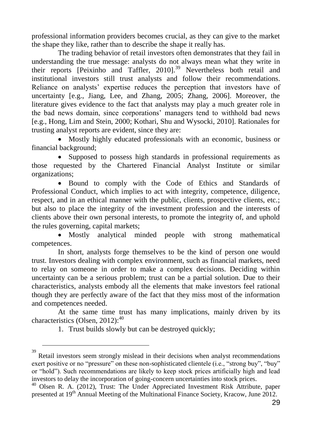professional information providers becomes crucial, as they can give to the market the shape they like, rather than to describe the shape it really has.

The trading behavior of retail investors often demonstrates that they fail in understanding the true message: analysts do not always mean what they write in their reports [Peixinho and Taffler, 2010].<sup>39</sup> Nevertheless both retail and institutional investors still trust analysts and follow their recommendations. Reliance on analysts' expertise reduces the perception that investors have of uncertainty [e.g., Jiang, Lee, and Zhang, 2005; Zhang, 2006]. Moreover, the literature gives evidence to the fact that analysts may play a much greater role in the bad news domain, since corporations' managers tend to withhold bad news [e.g., Hong, Lim and Stein, 2000; Kothari, Shu and Wysocki, 2010]. Rationales for trusting analyst reports are evident, since they are:

• Mostly highly educated professionals with an economic, business or financial background;

• Supposed to possess high standards in professional requirements as those requested by the Chartered Financial Analyst Institute or similar organizations;

 Bound to comply with the Code of Ethics and Standards of Professional Conduct, which implies to act with integrity, competence, diligence, respect, and in an ethical manner with the public, clients, prospective clients, etc.; but also to place the integrity of the investment profession and the interests of clients above their own personal interests, to promote the integrity of, and uphold the rules governing, capital markets;

 Mostly analytical minded people with strong mathematical competences.

In short, analysts forge themselves to be the kind of person one would trust. Investors dealing with complex environment, such as financial markets, need to relay on someone in order to make a complex decisions. Deciding within uncertainty can be a serious problem; trust can be a partial solution. Due to their characteristics, analysts embody all the elements that make investors feel rational though they are perfectly aware of the fact that they miss most of the information and competences needed.

At the same time trust has many implications, mainly driven by its characteristics (Olsen, 2012):<sup>40</sup>

1. Trust builds slowly but can be destroyed quickly;

Retail investors seem strongly mislead in their decisions when analyst recommendations exert positive or no "pressure" on these non-sophisticated clientele (i.e., "strong buy", "buy" or "hold"). Such recommendations are likely to keep stock prices artificially high and lead investors to delay the incorporation of going-concern uncertainties into stock prices.

<sup>40</sup> Olsen R. A. (2012), Trust: The Under Appreciated Investment Risk Attribute, paper presented at 19<sup>th</sup> Annual Meeting of the Multinational Finance Society, Kracow, June 2012.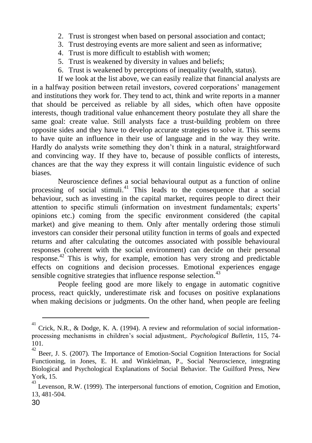- 2. Trust is strongest when based on personal association and contact;
- 3. Trust destroying events are more salient and seen as informative;
- 4. Trust is more difficult to establish with women;
- 5. Trust is weakened by diversity in values and beliefs;
- 6. Trust is weakened by perceptions of inequality (wealth, status).

If we look at the list above, we can easily realize that financial analysts are in a halfway position between retail investors, covered corporations' management and institutions they work for. They tend to act, think and write reports in a manner that should be perceived as reliable by all sides, which often have opposite interests, though traditional value enhancement theory postulate they all share the same goal: create value. Still analysts face a trust-building problem on three opposite sides and they have to develop accurate strategies to solve it. This seems to have quite an influence in their use of language and in the way they write. Hardly do analysts write something they don't think in a natural, straightforward and convincing way. If they have to, because of possible conflicts of interests, chances are that the way they express it will contain linguistic evidence of such biases.

Neuroscience defines a social behavioural output as a function of online processing of social stimuli.<sup>41</sup> This leads to the consequence that a social behaviour, such as investing in the capital market, requires people to direct their attention to specific stimuli (information on investment fundamentals; experts' opinions etc.) coming from the specific environment considered (the capital market) and give meaning to them. Only after mentally ordering those stimuli investors can consider their personal utility function in terms of goals and expected returns and after calculating the outcomes associated with possible behavioural responses (coherent with the social environment) can decide on their personal response.<sup>42</sup> This is why, for example, emotion has very strong and predictable effects on cognitions and decision processes. Emotional experiences engage sensible cognitive strategies that influence response selection. $43$ 

People feeling good are more likely to engage in automatic cognitive process, react quickly, underestimate risk and focuses on positive explanations when making decisions or judgments. On the other hand, when people are feeling

<sup>41</sup> Crick, N.R., & Dodge, K. A. (1994). A review and reformulation of social informationprocessing mechanisms in children's social adjustment,. *Psychological Bulletin*, 115, 74- 101.  $\frac{1}{42}$ 

Beer, J. S. (2007). The Importance of Emotion-Social Cognition Interactions for Social Functioning, in Jones, E. H. and Winkielman, P., Social Neuroscience, integrating Biological and Psychological Explanations of Social Behavior. The Guilford Press, New York, 15.

<sup>43</sup> Levenson, R.W. (1999). The interpersonal functions of emotion, Cognition and Emotion, 13, 481-504.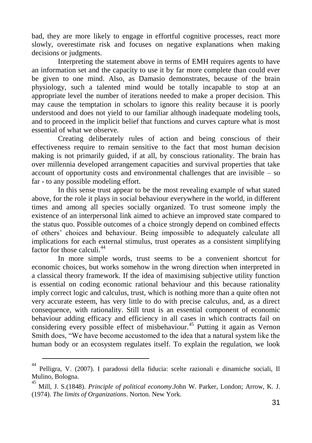bad, they are more likely to engage in effortful cognitive processes, react more slowly, overestimate risk and focuses on negative explanations when making decisions or judgments.

Interpreting the statement above in terms of EMH requires agents to have an information set and the capacity to use it by far more complete than could ever be given to one mind. Also, as Damasio demonstrates, because of the brain physiology, such a talented mind would be totally incapable to stop at an appropriate level the number of iterations needed to make a proper decision. This may cause the temptation in scholars to ignore this reality because it is poorly understood and does not yield to our familiar although inadequate modeling tools, and to proceed in the implicit belief that functions and curves capture what is most essential of what we observe.

Creating deliberately rules of action and being conscious of their effectiveness require to remain sensitive to the fact that most human decision making is not primarily guided, if at all, by conscious rationality. The brain has over millennia developed arrangement capacities and survival properties that take account of opportunity costs and environmental challenges that are invisible – so far - to any possible modeling effort.

In this sense trust appear to be the most revealing example of what stated above, for the role it plays in social behaviour everywhere in the world, in different times and among all species socially organized. To trust someone imply the existence of an interpersonal link aimed to achieve an improved state compared to the status quo. Possible outcomes of a choice strongly depend on combined effects of others' choices and behaviour. Being impossible to adequately calculate all implications for each external stimulus, trust operates as a consistent simplifying factor for those calculi $44$ 

In more simple words, trust seems to be a convenient shortcut for economic choices, but works somehow in the wrong direction when interpreted in a classical theory framework. If the idea of maximising subjective utility function is essential on coding economic rational behaviour and this because rationality imply correct logic and calculus, trust, which is nothing more than a quite often not very accurate esteem, has very little to do with precise calculus, and, as a direct consequence, with rationality. Still trust is an essential component of economic behaviour adding efficacy and efficiency in all cases in which contracts fail on considering every possible effect of misbehaviour.<sup>45</sup> Putting it again as Vernon Smith does, "We have become accustomed to the idea that a natural system like the human body or an ecosystem regulates itself. To explain the regulation, we look

<sup>44</sup> Pelligra, V. (2007). I paradossi della fiducia: scelte razionali e dinamiche sociali, Il Mulino, Bologna.

<sup>45</sup> Mill, J. S.(1848). *Principle of political economy*.John W. Parker, London; Arrow, K. J. (1974). *The limits of Organizations*. Norton. New York.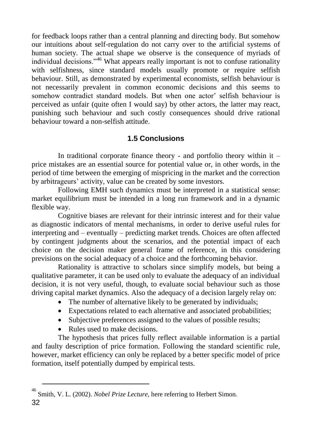for feedback loops rather than a central planning and directing body. But somehow our intuitions about self-regulation do not carry over to the artificial systems of human society. The actual shape we observe is the consequence of myriads of individual decisions."<sup>46</sup> What appears really important is not to confuse rationality with selfishness, since standard models usually promote or require selfish behaviour. Still, as demonstrated by experimental economists, selfish behaviour is not necessarily prevalent in common economic decisions and this seems to somehow contradict standard models. But when one actor' selfish behaviour is perceived as unfair (quite often I would say) by other actors, the latter may react, punishing such behaviour and such costly consequences should drive rational behaviour toward a non-selfish attitude.

# **1.5 Conclusions**

In traditional corporate finance theory - and portfolio theory within it  $$ price mistakes are an essential source for potential value or, in other words, in the period of time between the emerging of mispricing in the market and the correction by arbitrageurs' activity, value can be created by some investors.

Following EMH such dynamics must be interpreted in a statistical sense: market equilibrium must be intended in a long run framework and in a dynamic flexible way.

Cognitive biases are relevant for their intrinsic interest and for their value as diagnostic indicators of mental mechanisms, in order to derive useful rules for interpreting and – eventually – predicting market trends. Choices are often affected by contingent judgments about the scenarios, and the potential impact of each choice on the decision maker general frame of reference, in this considering previsions on the social adequacy of a choice and the forthcoming behavior.

Rationality is attractive to scholars since simplify models, but being a qualitative parameter, it can be used only to evaluate the adequacy of an individual decision, it is not very useful, though, to evaluate social behaviour such as those driving capital market dynamics. Also the adequacy of a decision largely relay on:

- The number of alternative likely to be generated by individuals;
- Expectations related to each alternative and associated probabilities;
- Subjective preferences assigned to the values of possible results;
- Rules used to make decisions.

 $\overline{a}$ 

The hypothesis that prices fully reflect available information is a partial and faulty description of price formation. Following the standard scientific rule, however, market efficiency can only be replaced by a better specific model of price formation, itself potentially dumped by empirical tests.

<sup>32</sup> 46 Smith, V. L. (2002). *Nobel Prize Lecture*, here referring to Herbert Simon.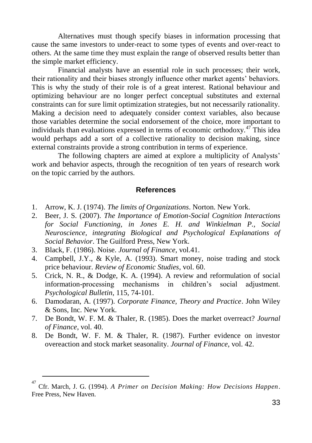Alternatives must though specify biases in information processing that cause the same investors to under-react to some types of events and over-react to others. At the same time they must explain the range of observed results better than the simple market efficiency.

Financial analysts have an essential role in such processes; their work, their rationality and their biases strongly influence other market agents' behaviors. This is why the study of their role is of a great interest. Rational behaviour and optimizing behaviour are no longer perfect conceptual substitutes and external constraints can for sure limit optimization strategies, but not necessarily rationality. Making a decision need to adequately consider context variables, also because those variables determine the social endorsement of the choice, more important to individuals than evaluations expressed in terms of economic orthodoxy.<sup>47</sup> This idea would perhaps add a sort of a collective rationality to decision making, since external constraints provide a strong contribution in terms of experience.

The following chapters are aimed at explore a multiplicity of Analysts' work and behavior aspects, through the recognition of ten years of research work on the topic carried by the authors.

#### **References**

- 1. Arrow, K. J. (1974). *The limits of Organizations*. Norton. New York.
- 2. Beer, J. S. (2007). *The Importance of Emotion-Social Cognition Interactions for Social Functioning, in Jones E. H. and Winkielman P., Social Neuroscience, integrating Biological and Psychological Explanations of Social Behavior*. The Guilford Press, New York.
- 3. Black, F. (1986). Noise. *Journal of Finance*, vol.41.

- 4. Campbell, J.Y., & Kyle, A. (1993). Smart money, noise trading and stock price behaviour. *Review of Economic Studies*, vol. 60.
- 5. Crick, N. R., & Dodge, K. A. (1994). A review and reformulation of social information-processing mechanisms in children's social adjustment. *Psychological Bulletin*, 115, 74-101.
- 6. Damodaran, A. (1997). *Corporate Finance, Theory and Practice*. John Wiley & Sons, Inc. New York.
- 7. De Bondt, W. F. M. & Thaler, R. (1985). Does the market overreact? *Journal of Finance*, vol. 40.
- 8. De Bondt, W. F. M. & Thaler, R. (1987). Further evidence on investor overeaction and stock market seasonality. *Journal of Finance*, vol. 42.

<sup>47</sup> Cfr. March, J. G. (1994). *A Primer on Decision Making: How Decisions Happen*. Free Press, New Haven.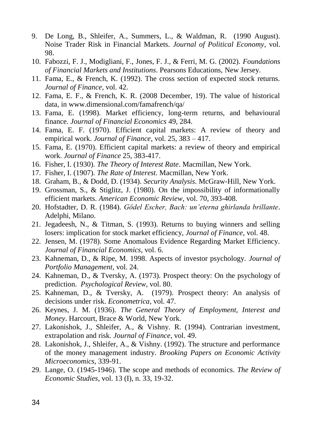- 9. De Long, B., Shleifer, A., Summers, L., & Waldman, R. (1990 August). Noise Trader Risk in Financial Markets. *Journal of Political Economy*, vol. 98.
- 10. Fabozzi, F. J., Modigliani, F., Jones, F. J., & Ferri, M. G. (2002). *Foundations of Financial Markets and Institutions*. Pearsons Educations, New Jersey.
- 11. Fama, E., & French, K. (1992). The cross section of expected stock returns. *Journal of Finance*, vol. 42.
- 12. Fama, E. F., & French, K. R. (2008 December, 19). The value of historical data, in www.dimensional.com/famafrench/qa/
- 13. Fama, E. (1998). Market efficiency, long-term returns, and behavioural finance. *Journal of Financial Economics* 49, 284.
- 14. Fama, E. F. (1970). Efficient capital markets: A review of theory and empirical work. *Journal of Finance*, vol. 25, 383 – 417.
- 15. Fama, E. (1970). Efficient capital markets: a review of theory and empirical work. *Journal of Finance* 25, 383-417.
- 16. Fisher, I. (1930). *The Theory of Interest Rate*. Macmillan, New York.
- 17. Fisher, I. (1907). *The Rate of Interest.* Macmillan, New York.
- 18. Graham, B., & Dodd, D. (1934). *Security Analysis*. McGraw-Hill, New York.
- 19. Grossman, S., & Stiglitz, J. (1980). On the impossibility of informationally efficient markets. *American Economic Review*, vol. 70, 393-408.
- 20. Hofstadter, D. R. (1984). *Gödel Escher, Bach: un'eterna ghirlanda brillante*. Adelphi, Milano.
- 21. Jegadeesh, N., & Titman, S. (1993). Returns to buying winners and selling losers: implication for stock market efficiency, *Journal of Finance*, vol. 48.
- 22. Jensen, M. (1978). Some Anomalous Evidence Regarding Market Efficiency. *Journal of Financial Economics*, vol. 6.
- 23. Kahneman, D., & Ripe, M. 1998. Aspects of investor psychology. *Journal of Portfolio Management*, vol. 24.
- 24. Kahneman, D., & Tversky, A. (1973). Prospect theory: On the psychology of prediction. *Psychological Review*, vol. 80.
- 25. Kahneman, D., & Tversky, A. (1979). Prospect theory: An analysis of decisions under risk. *Econometrica*, vol. 47.
- 26. Keynes, J. M. (1936). *The General Theory of Employment, Interest and Money*. Harcourt, Brace & World, New York.
- 27. Lakonishok, J., Shleifer, A., & Vishny. R. (1994). Contrarian investment, extrapolation and risk. *Journal of Finance*, vol. 49.
- 28. Lakonishok, J., Shleifer, A., & Vishny. (1992). The structure and performance of the money management industry. *Brooking Papers on Economic Activity Microeconomics*, 339-91.
- 29. Lange, O. (1945-1946). The scope and methods of economics. *The Review of Economic Studies*, vol. 13 (I), n. 33, 19-32.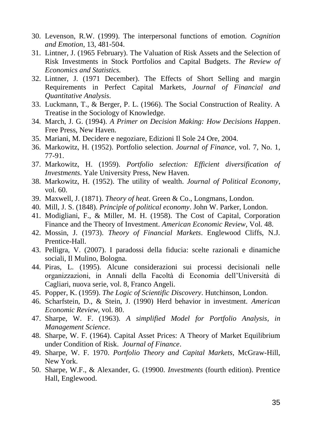- 30. Levenson, R.W. (1999). The interpersonal functions of emotion. *Cognition and Emotion*, 13, 481-504.
- 31. Lintner, J. (1965 February). The Valuation of Risk Assets and the Selection of Risk Investments in Stock Portfolios and Capital Budgets. *The Review of Economics and Statistics.*
- 32. Lintner, J. (1971 December). The Effects of Short Selling and margin Requirements in Perfect Capital Markets, *Journal of Financial and Quantitative Analysis*.
- 33. Luckmann, T., & Berger, P. L. (1966). The Social Construction of Reality. A Treatise in the Sociology of Knowledge.
- 34. March, J. G. (1994). *A Primer on Decision Making: How Decisions Happen*. Free Press, New Haven.
- 35. Mariani, M. Decidere e negoziare, Edizioni Il Sole 24 Ore, 2004.
- 36. Markowitz, H. (1952). Portfolio selection. *Journal of Finance*, vol. 7, No. 1, 77-91.
- 37. Markowitz, H. (1959). *Portfolio selection: Efficient diversification of Investments*. Yale University Press, New Haven.
- 38. Markowitz, H. (1952). The utility of wealth. *Journal of Political Economy*, vol. 60.
- 39. Maxwell, J. (1871). *Theory of heat*. Green & Co., Longmans, London.
- 40. Mill, J. S. (1848). *Principle of political economy*. John W. Parker, London.
- 41. Modigliani, F., & Miller, M. H. (1958). The Cost of Capital, Corporation Finance and the Theory of Investment. *American Economic Review*, Vol. 48.
- 42. Mossin, J. (1973). *Theory of Financial Markets*. Englewood Cliffs, N.J. Prentice-Hall.
- 43. Pelligra, V. (2007). I paradossi della fiducia: scelte razionali e dinamiche sociali, Il Mulino, Bologna.
- 44. Piras, L. (1995). Alcune considerazioni sui processi decisionali nelle organizzazioni, in Annali della Facoltà di Economia dell'Università di Cagliari, nuova serie, vol. 8, Franco Angeli.
- 45. Popper, K. (1959). *The Logic of Scientific Discovery*. Hutchinson, London.
- 46. Scharfstein, D., & Stein, J. (1990) Herd behavior in investment. *American Economic Review*, vol. 80.
- 47. Sharpe, W. F. (1963). *A simplified Model for Portfolio Analysis, in Management Science*.
- 48. Sharpe, W. F. (1964). Capital Asset Prices: A Theory of Market Equilibrium under Condition of Risk. *Journal of Finance*.
- 49. Sharpe, W. F. 1970. *Portfolio Theory and Capital Markets*, McGraw-Hill, New York.
- 50. Sharpe, W.F., & Alexander, G. (19900. *Investments* (fourth edition). Prentice Hall, Englewood.